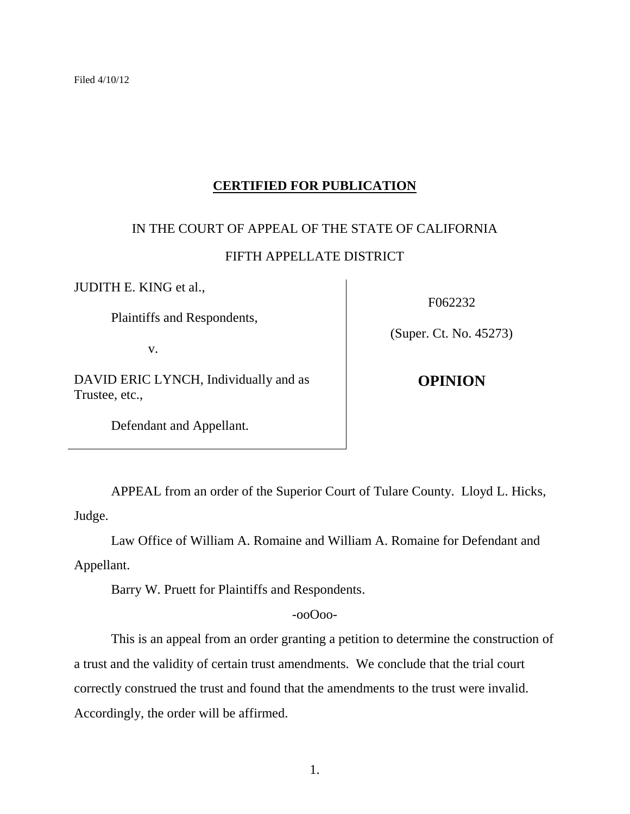## **CERTIFIED FOR PUBLICATION**

# IN THE COURT OF APPEAL OF THE STATE OF CALIFORNIA

## FIFTH APPELLATE DISTRICT

JUDITH E. KING et al.,

Plaintiffs and Respondents,

v.

DAVID ERIC LYNCH, Individually and as Trustee, etc.,

Defendant and Appellant.

F062232

(Super. Ct. No. 45273)

**OPINION**

APPEAL from an order of the Superior Court of Tulare County. Lloyd L. Hicks,

Judge.

Law Office of William A. Romaine and William A. Romaine for Defendant and Appellant.

Barry W. Pruett for Plaintiffs and Respondents.

-ooOoo-

This is an appeal from an order granting a petition to determine the construction of a trust and the validity of certain trust amendments. We conclude that the trial court correctly construed the trust and found that the amendments to the trust were invalid. Accordingly, the order will be affirmed.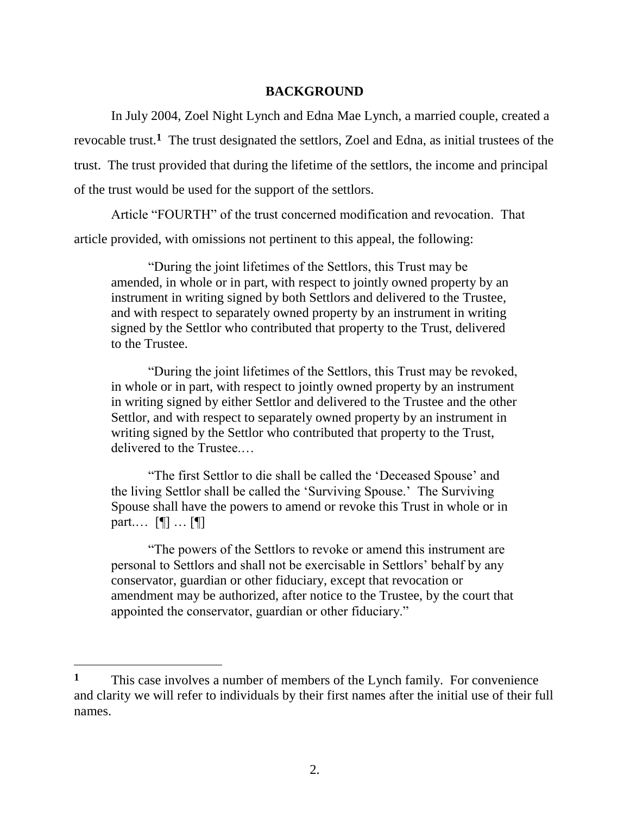## **BACKGROUND**

In July 2004, Zoel Night Lynch and Edna Mae Lynch, a married couple, created a revocable trust.**<sup>1</sup>** The trust designated the settlors, Zoel and Edna, as initial trustees of the trust. The trust provided that during the lifetime of the settlors, the income and principal of the trust would be used for the support of the settlors.

Article "FOURTH" of the trust concerned modification and revocation. That article provided, with omissions not pertinent to this appeal, the following:

"During the joint lifetimes of the Settlors, this Trust may be amended, in whole or in part, with respect to jointly owned property by an instrument in writing signed by both Settlors and delivered to the Trustee, and with respect to separately owned property by an instrument in writing signed by the Settlor who contributed that property to the Trust, delivered to the Trustee.

"During the joint lifetimes of the Settlors, this Trust may be revoked, in whole or in part, with respect to jointly owned property by an instrument in writing signed by either Settlor and delivered to the Trustee and the other Settlor, and with respect to separately owned property by an instrument in writing signed by the Settlor who contributed that property to the Trust, delivered to the Trustee.…

"The first Settlor to die shall be called the "Deceased Spouse" and the living Settlor shall be called the "Surviving Spouse." The Surviving Spouse shall have the powers to amend or revoke this Trust in whole or in part.… [¶] … [¶]

"The powers of the Settlors to revoke or amend this instrument are personal to Settlors and shall not be exercisable in Settlors" behalf by any conservator, guardian or other fiduciary, except that revocation or amendment may be authorized, after notice to the Trustee, by the court that appointed the conservator, guardian or other fiduciary."

**<sup>1</sup>** This case involves a number of members of the Lynch family. For convenience and clarity we will refer to individuals by their first names after the initial use of their full names.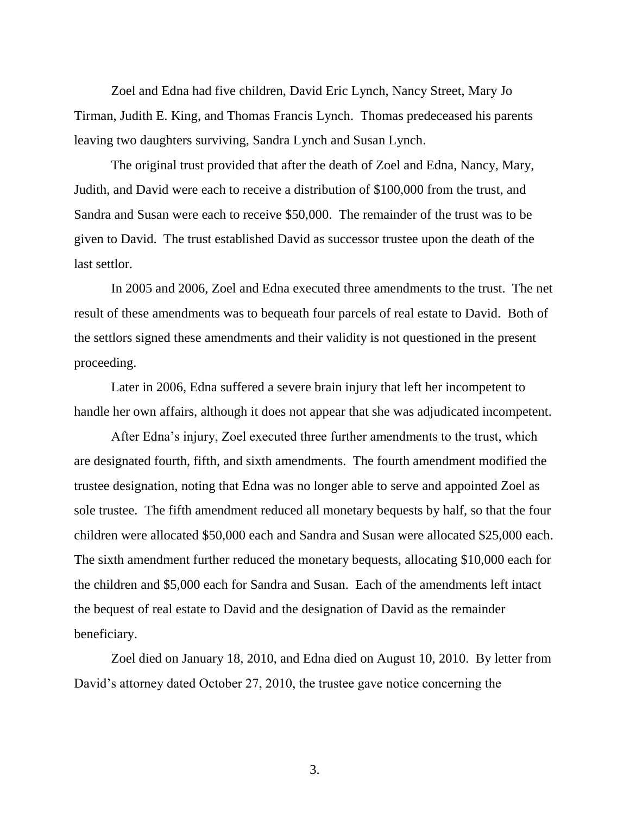Zoel and Edna had five children, David Eric Lynch, Nancy Street, Mary Jo Tirman, Judith E. King, and Thomas Francis Lynch. Thomas predeceased his parents leaving two daughters surviving, Sandra Lynch and Susan Lynch.

The original trust provided that after the death of Zoel and Edna, Nancy, Mary, Judith, and David were each to receive a distribution of \$100,000 from the trust, and Sandra and Susan were each to receive \$50,000. The remainder of the trust was to be given to David. The trust established David as successor trustee upon the death of the last settlor.

In 2005 and 2006, Zoel and Edna executed three amendments to the trust. The net result of these amendments was to bequeath four parcels of real estate to David. Both of the settlors signed these amendments and their validity is not questioned in the present proceeding.

Later in 2006, Edna suffered a severe brain injury that left her incompetent to handle her own affairs, although it does not appear that she was adjudicated incompetent.

After Edna"s injury, Zoel executed three further amendments to the trust, which are designated fourth, fifth, and sixth amendments. The fourth amendment modified the trustee designation, noting that Edna was no longer able to serve and appointed Zoel as sole trustee. The fifth amendment reduced all monetary bequests by half, so that the four children were allocated \$50,000 each and Sandra and Susan were allocated \$25,000 each. The sixth amendment further reduced the monetary bequests, allocating \$10,000 each for the children and \$5,000 each for Sandra and Susan. Each of the amendments left intact the bequest of real estate to David and the designation of David as the remainder beneficiary.

Zoel died on January 18, 2010, and Edna died on August 10, 2010. By letter from David's attorney dated October 27, 2010, the trustee gave notice concerning the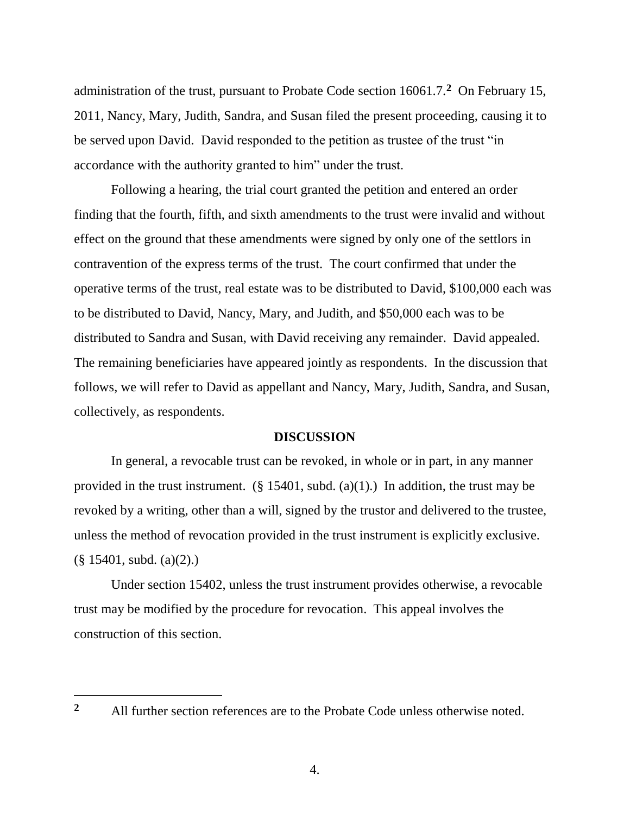administration of the trust, pursuant to Probate Code section 16061.7.**<sup>2</sup>** On February 15, 2011, Nancy, Mary, Judith, Sandra, and Susan filed the present proceeding, causing it to be served upon David. David responded to the petition as trustee of the trust "in accordance with the authority granted to him" under the trust.

Following a hearing, the trial court granted the petition and entered an order finding that the fourth, fifth, and sixth amendments to the trust were invalid and without effect on the ground that these amendments were signed by only one of the settlors in contravention of the express terms of the trust. The court confirmed that under the operative terms of the trust, real estate was to be distributed to David, \$100,000 each was to be distributed to David, Nancy, Mary, and Judith, and \$50,000 each was to be distributed to Sandra and Susan, with David receiving any remainder. David appealed. The remaining beneficiaries have appeared jointly as respondents. In the discussion that follows, we will refer to David as appellant and Nancy, Mary, Judith, Sandra, and Susan, collectively, as respondents.

#### **DISCUSSION**

In general, a revocable trust can be revoked, in whole or in part, in any manner provided in the trust instrument.  $(\S 15401, \text{subd}, (a)(1))$ . In addition, the trust may be revoked by a writing, other than a will, signed by the trustor and delivered to the trustee, unless the method of revocation provided in the trust instrument is explicitly exclusive. (§ 15401, subd. (a)(2).)

Under section 15402, unless the trust instrument provides otherwise, a revocable trust may be modified by the procedure for revocation. This appeal involves the construction of this section.

**<sup>2</sup>** All further section references are to the Probate Code unless otherwise noted.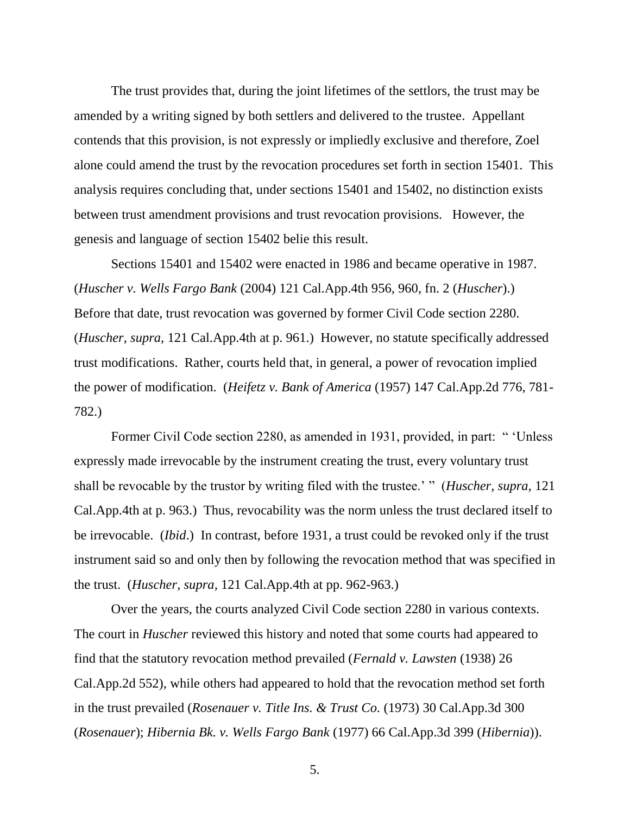The trust provides that, during the joint lifetimes of the settlors, the trust may be amended by a writing signed by both settlers and delivered to the trustee. Appellant contends that this provision, is not expressly or impliedly exclusive and therefore, Zoel alone could amend the trust by the revocation procedures set forth in section 15401. This analysis requires concluding that, under sections 15401 and 15402, no distinction exists between trust amendment provisions and trust revocation provisions. However, the genesis and language of section 15402 belie this result.

Sections 15401 and 15402 were enacted in 1986 and became operative in 1987. (*Huscher v. Wells Fargo Bank* (2004) 121 Cal.App.4th 956, 960, fn. 2 (*Huscher*).) Before that date, trust revocation was governed by former Civil Code section 2280. (*Huscher, supra,* 121 Cal.App.4th at p. 961.) However, no statute specifically addressed trust modifications. Rather, courts held that, in general, a power of revocation implied the power of modification. (*Heifetz v. Bank of America* (1957) 147 Cal.App.2d 776, 781- 782.)

Former Civil Code section 2280, as amended in 1931, provided, in part: " "Unless expressly made irrevocable by the instrument creating the trust, every voluntary trust shall be revocable by the trustor by writing filed with the trustee." " (*Huscher, supra,* 121 Cal.App.4th at p. 963.) Thus, revocability was the norm unless the trust declared itself to be irrevocable. (*Ibid*.) In contrast, before 1931, a trust could be revoked only if the trust instrument said so and only then by following the revocation method that was specified in the trust. (*Huscher, supra,* 121 Cal.App.4th at pp. 962-963.)

Over the years, the courts analyzed Civil Code section 2280 in various contexts. The court in *Huscher* reviewed this history and noted that some courts had appeared to find that the statutory revocation method prevailed (*Fernald v. Lawsten* (1938) 26 Cal.App.2d 552), while others had appeared to hold that the revocation method set forth in the trust prevailed (*Rosenauer v. Title Ins. & Trust Co.* (1973) 30 Cal.App.3d 300 (*Rosenauer*); *Hibernia Bk. v. Wells Fargo Bank* (1977) 66 Cal.App.3d 399 (*Hibernia*)).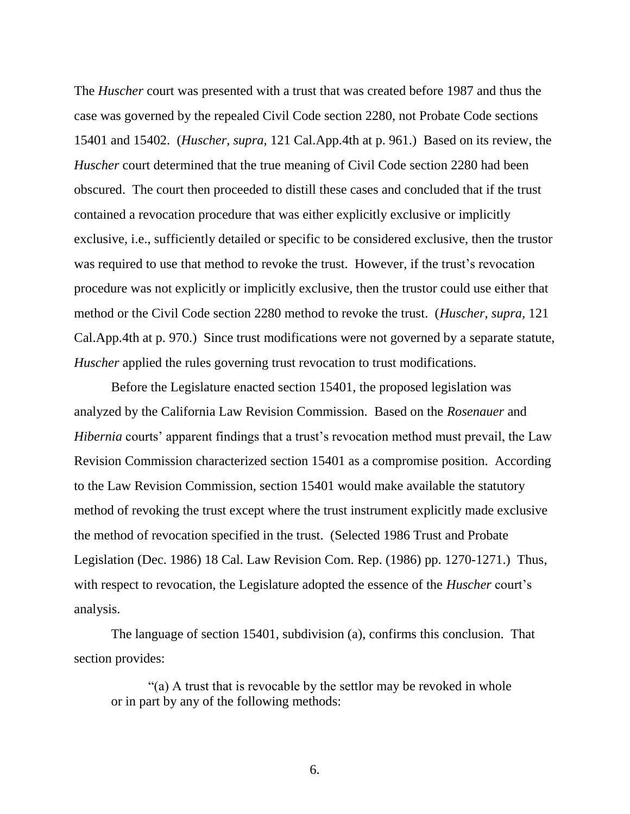The *Huscher* court was presented with a trust that was created before 1987 and thus the case was governed by the repealed Civil Code section 2280, not Probate Code sections 15401 and 15402. (*Huscher, supra,* 121 Cal.App.4th at p. 961.) Based on its review, the *Huscher* court determined that the true meaning of Civil Code section 2280 had been obscured. The court then proceeded to distill these cases and concluded that if the trust contained a revocation procedure that was either explicitly exclusive or implicitly exclusive, i.e., sufficiently detailed or specific to be considered exclusive, then the trustor was required to use that method to revoke the trust. However, if the trust's revocation procedure was not explicitly or implicitly exclusive, then the trustor could use either that method or the Civil Code section 2280 method to revoke the trust. (*Huscher, supra,* 121 Cal.App.4th at p. 970.) Since trust modifications were not governed by a separate statute, *Huscher* applied the rules governing trust revocation to trust modifications.

Before the Legislature enacted section 15401, the proposed legislation was analyzed by the California Law Revision Commission. Based on the *Rosenauer* and *Hibernia* courts' apparent findings that a trust's revocation method must prevail, the Law Revision Commission characterized section 15401 as a compromise position. According to the Law Revision Commission, section 15401 would make available the statutory method of revoking the trust except where the trust instrument explicitly made exclusive the method of revocation specified in the trust. (Selected 1986 Trust and Probate Legislation (Dec. 1986) 18 Cal. Law Revision Com. Rep. (1986) pp. 1270-1271.) Thus, with respect to revocation, the Legislature adopted the essence of the *Huscher* court's analysis.

The language of section 15401, subdivision (a), confirms this conclusion. That section provides:

"(a) A trust that is revocable by the settlor may be revoked in whole or in part by any of the following methods: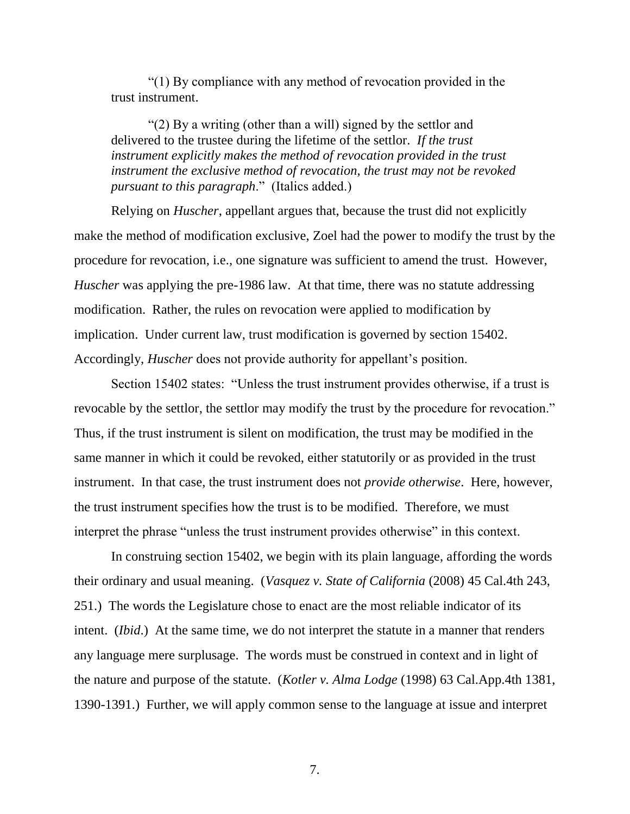"(1) By compliance with any method of revocation provided in the trust instrument.

"(2) By a writing (other than a will) signed by the settlor and delivered to the trustee during the lifetime of the settlor. *If the trust instrument explicitly makes the method of revocation provided in the trust instrument the exclusive method of revocation, the trust may not be revoked pursuant to this paragraph*." (Italics added.)

Relying on *Huscher*, appellant argues that, because the trust did not explicitly make the method of modification exclusive, Zoel had the power to modify the trust by the procedure for revocation, i.e., one signature was sufficient to amend the trust. However, *Huscher* was applying the pre-1986 law. At that time, there was no statute addressing modification. Rather, the rules on revocation were applied to modification by implication. Under current law, trust modification is governed by section 15402. Accordingly, *Huscher* does not provide authority for appellant's position.

Section 15402 states: "Unless the trust instrument provides otherwise, if a trust is revocable by the settlor, the settlor may modify the trust by the procedure for revocation." Thus, if the trust instrument is silent on modification, the trust may be modified in the same manner in which it could be revoked, either statutorily or as provided in the trust instrument. In that case, the trust instrument does not *provide otherwise*. Here, however, the trust instrument specifies how the trust is to be modified. Therefore, we must interpret the phrase "unless the trust instrument provides otherwise" in this context.

In construing section 15402, we begin with its plain language, affording the words their ordinary and usual meaning. (*Vasquez v. State of California* (2008) 45 Cal.4th 243, 251.) The words the Legislature chose to enact are the most reliable indicator of its intent. (*Ibid*.) At the same time, we do not interpret the statute in a manner that renders any language mere surplusage. The words must be construed in context and in light of the nature and purpose of the statute. (*Kotler v. Alma Lodge* (1998) 63 Cal.App.4th 1381, 1390-1391.) Further, we will apply common sense to the language at issue and interpret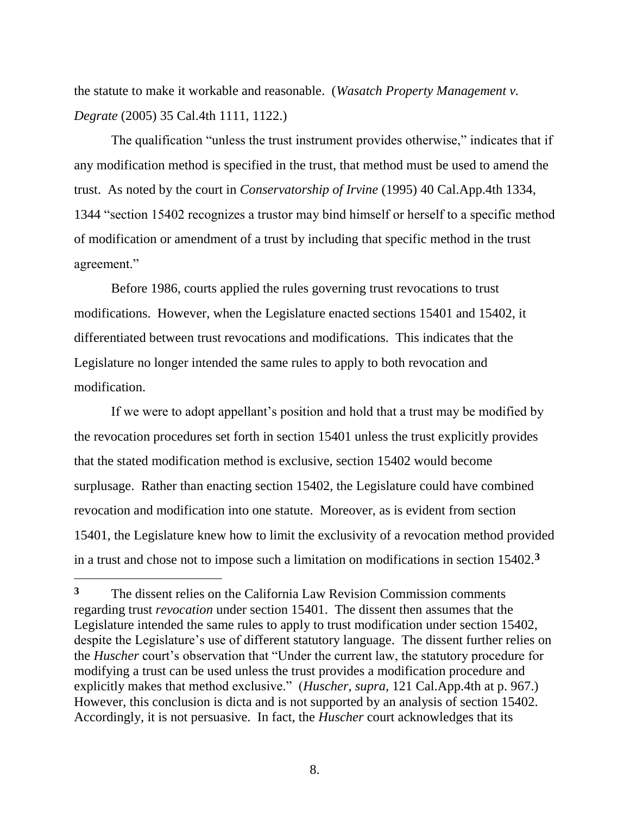the statute to make it workable and reasonable. (*Wasatch Property Management v. Degrate* (2005) 35 Cal.4th 1111, 1122.)

The qualification "unless the trust instrument provides otherwise," indicates that if any modification method is specified in the trust, that method must be used to amend the trust. As noted by the court in *Conservatorship of Irvine* (1995) 40 Cal.App.4th 1334, 1344 "section 15402 recognizes a trustor may bind himself or herself to a specific method of modification or amendment of a trust by including that specific method in the trust agreement."

Before 1986, courts applied the rules governing trust revocations to trust modifications. However, when the Legislature enacted sections 15401 and 15402, it differentiated between trust revocations and modifications. This indicates that the Legislature no longer intended the same rules to apply to both revocation and modification.

If we were to adopt appellant's position and hold that a trust may be modified by the revocation procedures set forth in section 15401 unless the trust explicitly provides that the stated modification method is exclusive, section 15402 would become surplusage. Rather than enacting section 15402, the Legislature could have combined revocation and modification into one statute. Moreover, as is evident from section 15401, the Legislature knew how to limit the exclusivity of a revocation method provided in a trust and chose not to impose such a limitation on modifications in section 15402.**<sup>3</sup>**

**<sup>3</sup>** The dissent relies on the California Law Revision Commission comments regarding trust *revocation* under section 15401. The dissent then assumes that the Legislature intended the same rules to apply to trust modification under section 15402, despite the Legislature's use of different statutory language. The dissent further relies on the *Huscher* court's observation that "Under the current law, the statutory procedure for modifying a trust can be used unless the trust provides a modification procedure and explicitly makes that method exclusive." (*Huscher, supra,* 121 Cal.App.4th at p. 967.) However, this conclusion is dicta and is not supported by an analysis of section 15402. Accordingly, it is not persuasive. In fact, the *Huscher* court acknowledges that its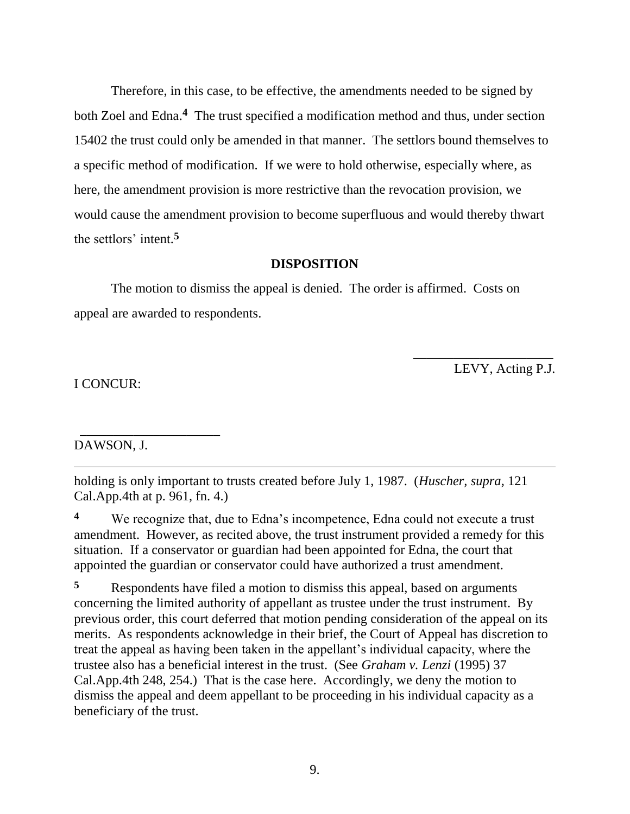Therefore, in this case, to be effective, the amendments needed to be signed by both Zoel and Edna.**<sup>4</sup>** The trust specified a modification method and thus, under section 15402 the trust could only be amended in that manner. The settlors bound themselves to a specific method of modification. If we were to hold otherwise, especially where, as here, the amendment provision is more restrictive than the revocation provision, we would cause the amendment provision to become superfluous and would thereby thwart the settlors" intent.**<sup>5</sup>**

#### **DISPOSITION**

The motion to dismiss the appeal is denied. The order is affirmed. Costs on appeal are awarded to respondents.

LEVY, Acting P.J.

\_\_\_\_\_\_\_\_\_\_\_\_\_\_\_\_\_\_\_\_\_

I CONCUR:

DAWSON, J.

\_\_\_\_\_\_\_\_\_\_\_\_\_\_\_\_\_\_\_\_\_

holding is only important to trusts created before July 1, 1987. (*Huscher, supra,* 121 Cal.App.4th at p. 961, fn. 4.)

**<sup>4</sup>** We recognize that, due to Edna"s incompetence, Edna could not execute a trust amendment. However, as recited above, the trust instrument provided a remedy for this situation. If a conservator or guardian had been appointed for Edna, the court that appointed the guardian or conservator could have authorized a trust amendment.

**<sup>5</sup>** Respondents have filed a motion to dismiss this appeal, based on arguments concerning the limited authority of appellant as trustee under the trust instrument. By previous order, this court deferred that motion pending consideration of the appeal on its merits. As respondents acknowledge in their brief, the Court of Appeal has discretion to treat the appeal as having been taken in the appellant"s individual capacity, where the trustee also has a beneficial interest in the trust. (See *Graham v. Lenzi* (1995) 37 Cal.App.4th 248, 254.) That is the case here. Accordingly, we deny the motion to dismiss the appeal and deem appellant to be proceeding in his individual capacity as a beneficiary of the trust.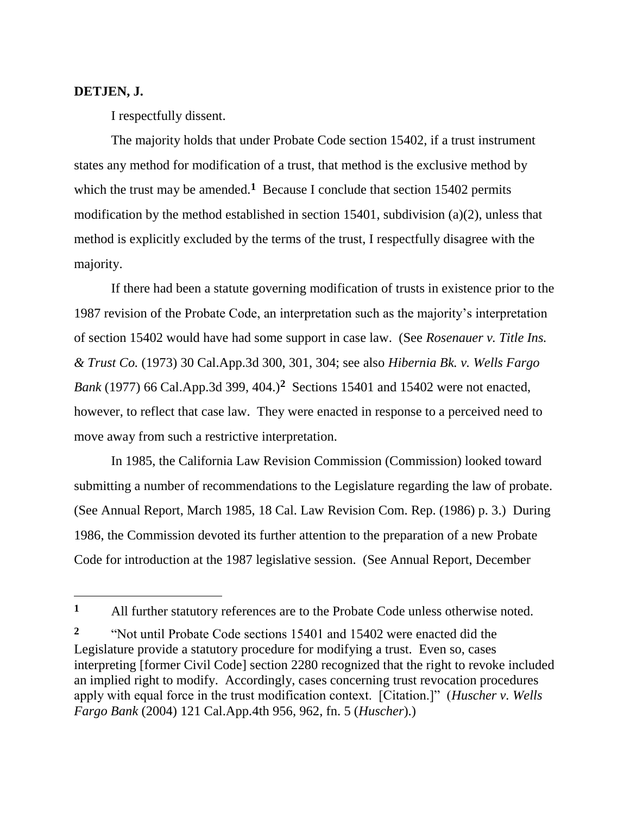#### **DETJEN, J.**

I respectfully dissent.

The majority holds that under Probate Code section 15402, if a trust instrument states any method for modification of a trust, that method is the exclusive method by which the trust may be amended.<sup>1</sup> Because I conclude that section 15402 permits modification by the method established in section 15401, subdivision (a)(2), unless that method is explicitly excluded by the terms of the trust, I respectfully disagree with the majority.

If there had been a statute governing modification of trusts in existence prior to the 1987 revision of the Probate Code, an interpretation such as the majority"s interpretation of section 15402 would have had some support in case law. (See *Rosenauer v. Title Ins. & Trust Co.* (1973) 30 Cal.App.3d 300, 301, 304; see also *Hibernia Bk. v. Wells Fargo Bank* (1977) 66 Cal.App.3d 399, 404.)**<sup>2</sup>** Sections 15401 and 15402 were not enacted, however, to reflect that case law. They were enacted in response to a perceived need to move away from such a restrictive interpretation.

In 1985, the California Law Revision Commission (Commission) looked toward submitting a number of recommendations to the Legislature regarding the law of probate. (See Annual Report, March 1985, 18 Cal. Law Revision Com. Rep. (1986) p. 3.) During 1986, the Commission devoted its further attention to the preparation of a new Probate Code for introduction at the 1987 legislative session. (See Annual Report, December

**<sup>1</sup>** All further statutory references are to the Probate Code unless otherwise noted.

**<sup>2</sup>** "Not until Probate Code sections 15401 and 15402 were enacted did the Legislature provide a statutory procedure for modifying a trust. Even so, cases interpreting [former Civil Code] section 2280 recognized that the right to revoke included an implied right to modify. Accordingly, cases concerning trust revocation procedures apply with equal force in the trust modification context. [Citation.]" (*Huscher v. Wells Fargo Bank* (2004) 121 Cal.App.4th 956, 962, fn. 5 (*Huscher*).)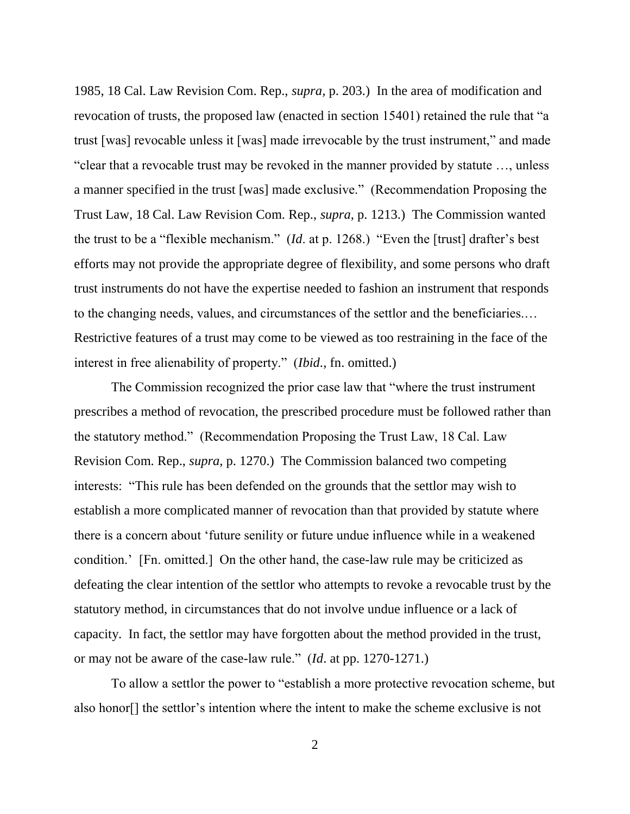1985, 18 Cal. Law Revision Com. Rep., *supra,* p. 203.) In the area of modification and revocation of trusts, the proposed law (enacted in section 15401) retained the rule that "a trust [was] revocable unless it [was] made irrevocable by the trust instrument," and made "clear that a revocable trust may be revoked in the manner provided by statute …, unless a manner specified in the trust [was] made exclusive." (Recommendation Proposing the Trust Law, 18 Cal. Law Revision Com. Rep., *supra,* p. 1213.) The Commission wanted the trust to be a "flexible mechanism." (*Id*. at p. 1268.) "Even the [trust] drafter"s best efforts may not provide the appropriate degree of flexibility, and some persons who draft trust instruments do not have the expertise needed to fashion an instrument that responds to the changing needs, values, and circumstances of the settlor and the beneficiaries.… Restrictive features of a trust may come to be viewed as too restraining in the face of the interest in free alienability of property." (*Ibid*., fn. omitted.)

The Commission recognized the prior case law that "where the trust instrument prescribes a method of revocation, the prescribed procedure must be followed rather than the statutory method." (Recommendation Proposing the Trust Law, 18 Cal. Law Revision Com. Rep., *supra,* p. 1270.) The Commission balanced two competing interests: "This rule has been defended on the grounds that the settlor may wish to establish a more complicated manner of revocation than that provided by statute where there is a concern about "future senility or future undue influence while in a weakened condition." [Fn. omitted.] On the other hand, the case-law rule may be criticized as defeating the clear intention of the settlor who attempts to revoke a revocable trust by the statutory method, in circumstances that do not involve undue influence or a lack of capacity. In fact, the settlor may have forgotten about the method provided in the trust, or may not be aware of the case-law rule." (*Id*. at pp. 1270-1271.)

To allow a settlor the power to "establish a more protective revocation scheme, but also honor[] the settlor"s intention where the intent to make the scheme exclusive is not

2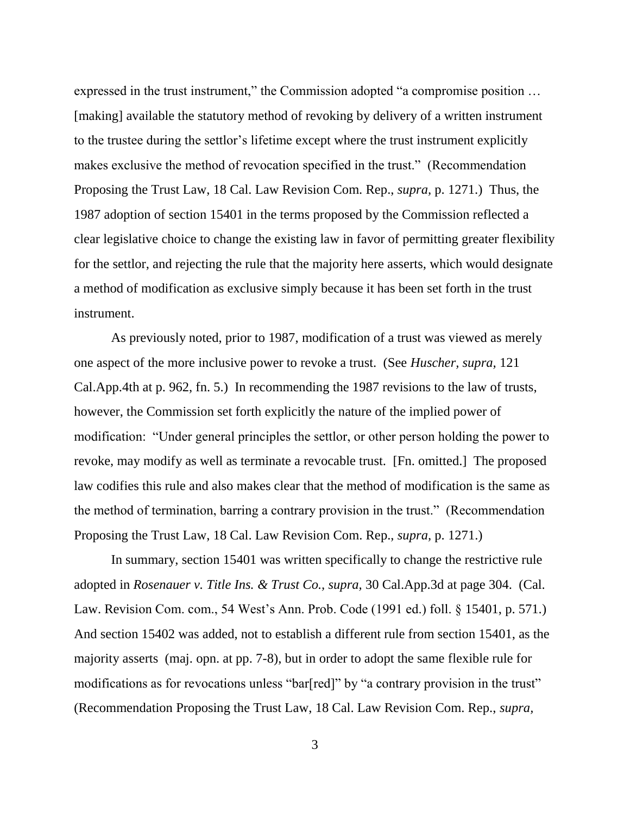expressed in the trust instrument," the Commission adopted "a compromise position … [making] available the statutory method of revoking by delivery of a written instrument to the trustee during the settlor"s lifetime except where the trust instrument explicitly makes exclusive the method of revocation specified in the trust." (Recommendation Proposing the Trust Law, 18 Cal. Law Revision Com. Rep., *supra,* p. 1271.) Thus, the 1987 adoption of section 15401 in the terms proposed by the Commission reflected a clear legislative choice to change the existing law in favor of permitting greater flexibility for the settlor, and rejecting the rule that the majority here asserts, which would designate a method of modification as exclusive simply because it has been set forth in the trust instrument.

As previously noted, prior to 1987, modification of a trust was viewed as merely one aspect of the more inclusive power to revoke a trust. (See *Huscher, supra,* 121 Cal.App.4th at p. 962, fn. 5.) In recommending the 1987 revisions to the law of trusts, however, the Commission set forth explicitly the nature of the implied power of modification: "Under general principles the settlor, or other person holding the power to revoke, may modify as well as terminate a revocable trust. [Fn. omitted.] The proposed law codifies this rule and also makes clear that the method of modification is the same as the method of termination, barring a contrary provision in the trust." (Recommendation Proposing the Trust Law, 18 Cal. Law Revision Com. Rep., *supra,* p. 1271.)

In summary, section 15401 was written specifically to change the restrictive rule adopted in *Rosenauer v. Title Ins. & Trust Co., supra,* 30 Cal.App.3d at page 304. (Cal. Law. Revision Com. com., 54 West's Ann. Prob. Code (1991 ed.) foll. § 15401, p. 571.) And section 15402 was added, not to establish a different rule from section 15401, as the majority asserts (maj. opn. at pp. 7-8), but in order to adopt the same flexible rule for modifications as for revocations unless "bar[red]" by "a contrary provision in the trust" (Recommendation Proposing the Trust Law, 18 Cal. Law Revision Com. Rep., *supra,*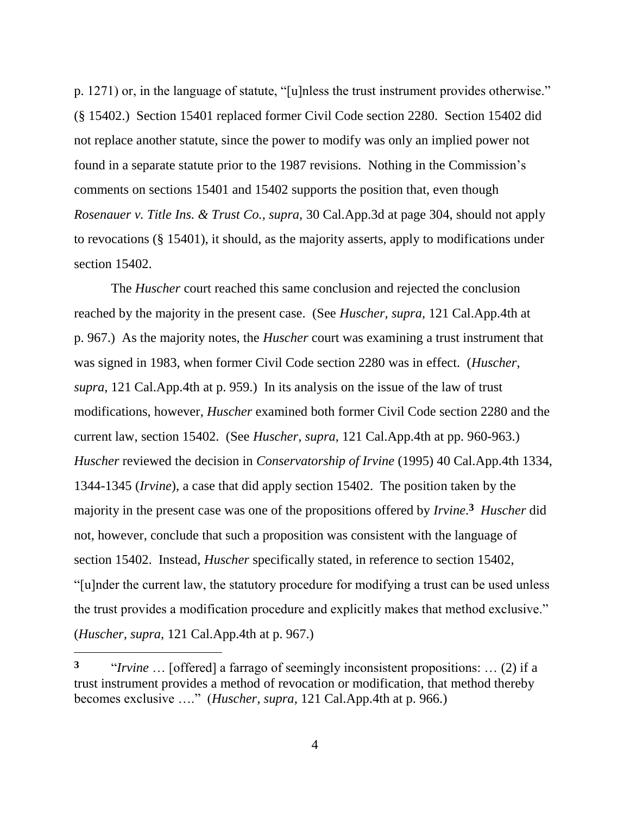p. 1271) or, in the language of statute, "[u]nless the trust instrument provides otherwise." (§ 15402.) Section 15401 replaced former Civil Code section 2280. Section 15402 did not replace another statute, since the power to modify was only an implied power not found in a separate statute prior to the 1987 revisions. Nothing in the Commission's comments on sections 15401 and 15402 supports the position that, even though *Rosenauer v. Title Ins. & Trust Co., supra,* 30 Cal.App.3d at page 304, should not apply to revocations (§ 15401), it should, as the majority asserts, apply to modifications under section 15402.

The *Huscher* court reached this same conclusion and rejected the conclusion reached by the majority in the present case. (See *Huscher, supra,* 121 Cal.App.4th at p. 967.) As the majority notes, the *Huscher* court was examining a trust instrument that was signed in 1983, when former Civil Code section 2280 was in effect. (*Huscher*, *supra*, 121 Cal.App.4th at p. 959.) In its analysis on the issue of the law of trust modifications, however, *Huscher* examined both former Civil Code section 2280 and the current law, section 15402. (See *Huscher*, *supra*, 121 Cal.App.4th at pp. 960-963.) *Huscher* reviewed the decision in *Conservatorship of Irvine* (1995) 40 Cal.App.4th 1334, 1344-1345 (*Irvine*), a case that did apply section 15402. The position taken by the majority in the present case was one of the propositions offered by *Irvine*. **3** *Huscher* did not, however, conclude that such a proposition was consistent with the language of section 15402. Instead, *Huscher* specifically stated, in reference to section 15402, "[u]nder the current law, the statutory procedure for modifying a trust can be used unless the trust provides a modification procedure and explicitly makes that method exclusive." (*Huscher, supra,* 121 Cal.App.4th at p. 967.)

**<sup>3</sup>** "*Irvine* … [offered] a farrago of seemingly inconsistent propositions: … (2) if a trust instrument provides a method of revocation or modification, that method thereby becomes exclusive …." (*Huscher, supra,* 121 Cal.App.4th at p. 966.)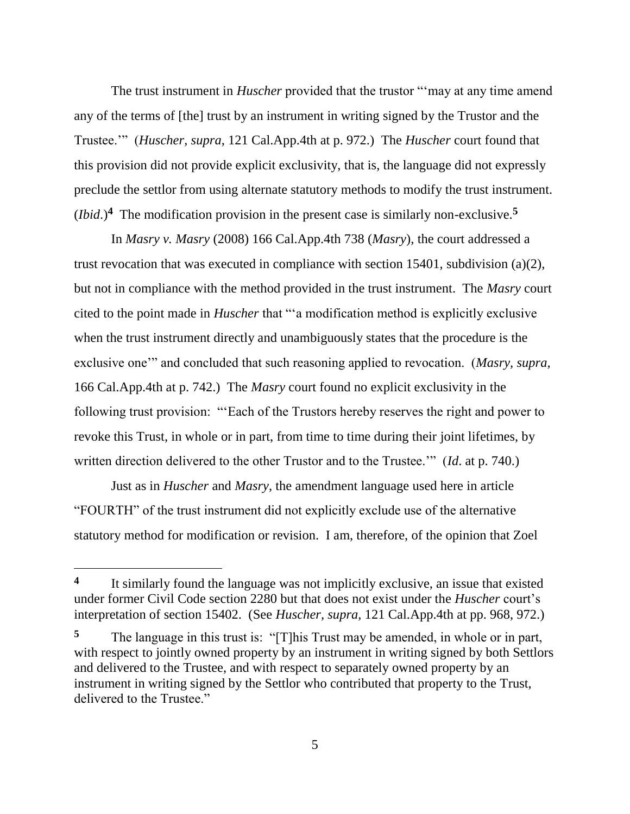The trust instrument in *Huscher* provided that the trustor ""may at any time amend any of the terms of [the] trust by an instrument in writing signed by the Trustor and the Trustee."" (*Huscher*, *supra*, 121 Cal.App.4th at p. 972.) The *Huscher* court found that this provision did not provide explicit exclusivity, that is, the language did not expressly preclude the settlor from using alternate statutory methods to modify the trust instrument. (*Ibid*.)**<sup>4</sup>** The modification provision in the present case is similarly non-exclusive.**<sup>5</sup>**

In *Masry v. Masry* (2008) 166 Cal.App.4th 738 (*Masry*), the court addressed a trust revocation that was executed in compliance with section 15401, subdivision (a)(2), but not in compliance with the method provided in the trust instrument. The *Masry* court cited to the point made in *Huscher* that ""a modification method is explicitly exclusive when the trust instrument directly and unambiguously states that the procedure is the exclusive one"" and concluded that such reasoning applied to revocation. (*Masry, supra,*  166 Cal.App.4th at p. 742.) The *Masry* court found no explicit exclusivity in the following trust provision: ""Each of the Trustors hereby reserves the right and power to revoke this Trust, in whole or in part, from time to time during their joint lifetimes, by written direction delivered to the other Trustor and to the Trustee."" (*Id*. at p. 740.)

Just as in *Huscher* and *Masry*, the amendment language used here in article "FOURTH" of the trust instrument did not explicitly exclude use of the alternative statutory method for modification or revision. I am, therefore, of the opinion that Zoel

**<sup>4</sup>** It similarly found the language was not implicitly exclusive, an issue that existed under former Civil Code section 2280 but that does not exist under the *Huscher* court's interpretation of section 15402. (See *Huscher, supra,* 121 Cal.App.4th at pp. 968, 972.)

**<sup>5</sup>** The language in this trust is: "[T]his Trust may be amended, in whole or in part, with respect to jointly owned property by an instrument in writing signed by both Settlors and delivered to the Trustee, and with respect to separately owned property by an instrument in writing signed by the Settlor who contributed that property to the Trust, delivered to the Trustee."